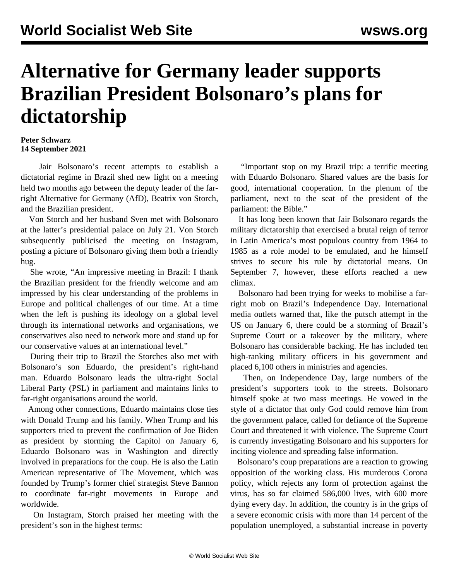## **Alternative for Germany leader supports Brazilian President Bolsonaro's plans for dictatorship**

## **Peter Schwarz 14 September 2021**

 Jair Bolsonaro's recent attempts to establish a dictatorial regime in Brazil shed new light on a meeting held two months ago between the deputy leader of the farright Alternative for Germany (AfD), Beatrix von Storch, and the Brazilian president.

 Von Storch and her husband Sven met with Bolsonaro at the latter's presidential palace on July 21. Von Storch subsequently publicised the meeting on Instagram, posting a picture of Bolsonaro giving them both a friendly hug.

 She wrote, "An impressive meeting in Brazil: I thank the Brazilian president for the friendly welcome and am impressed by his clear understanding of the problems in Europe and political challenges of our time. At a time when the left is pushing its ideology on a global level through its international networks and organisations, we conservatives also need to network more and stand up for our conservative values at an international level."

 During their trip to Brazil the Storches also met with Bolsonaro's son Eduardo, the president's right-hand man. Eduardo Bolsonaro leads the ultra-right Social Liberal Party (PSL) in parliament and maintains links to far-right organisations around the world.

 Among other connections, Eduardo maintains close ties with Donald Trump and his family. When Trump and his supporters tried to prevent the confirmation of Joe Biden as president by storming the Capitol on January 6, Eduardo Bolsonaro was in Washington and directly involved in preparations for the coup. He is also the Latin American representative of The Movement, which was founded by Trump's former chief strategist Steve Bannon to coordinate far-right movements in Europe and worldwide.

 On Instagram, Storch praised her meeting with the president's son in the highest terms:

 "Important stop on my Brazil trip: a terrific meeting with Eduardo Bolsonaro. Shared values are the basis for good, international cooperation. In the plenum of the parliament, next to the seat of the president of the parliament: the Bible."

 It has long been known that Jair Bolsonaro regards the military dictatorship that exercised a brutal reign of terror in Latin America's most populous country from 1964 to 1985 as a role model to be emulated, and he himself strives to secure his rule by dictatorial means. On September 7, however, these efforts reached a new climax.

 Bolsonaro had been trying for weeks to mobilise a farright mob on Brazil's Independence Day. International media outlets warned that, like the putsch attempt in the US on January 6, there could be a storming of Brazil's Supreme Court or a takeover by the military, where Bolsonaro has considerable backing. He has included ten high-ranking military officers in his government and placed 6,100 others in ministries and agencies.

 Then, on Independence Day, large numbers of the president's supporters took to the streets. Bolsonaro himself spoke at two mass meetings. He vowed in the style of a dictator that only God could remove him from the government palace, called for defiance of the Supreme Court and threatened it with violence. The Supreme Court is currently investigating Bolsonaro and his supporters for inciting violence and spreading false information.

 Bolsonaro's coup preparations are a reaction to growing opposition of the working class. His murderous Corona policy, which rejects any form of protection against the virus, has so far claimed 586,000 lives, with 600 more dying every day. In addition, the country is in the grips of a severe economic crisis with more than 14 percent of the population unemployed, a substantial increase in poverty